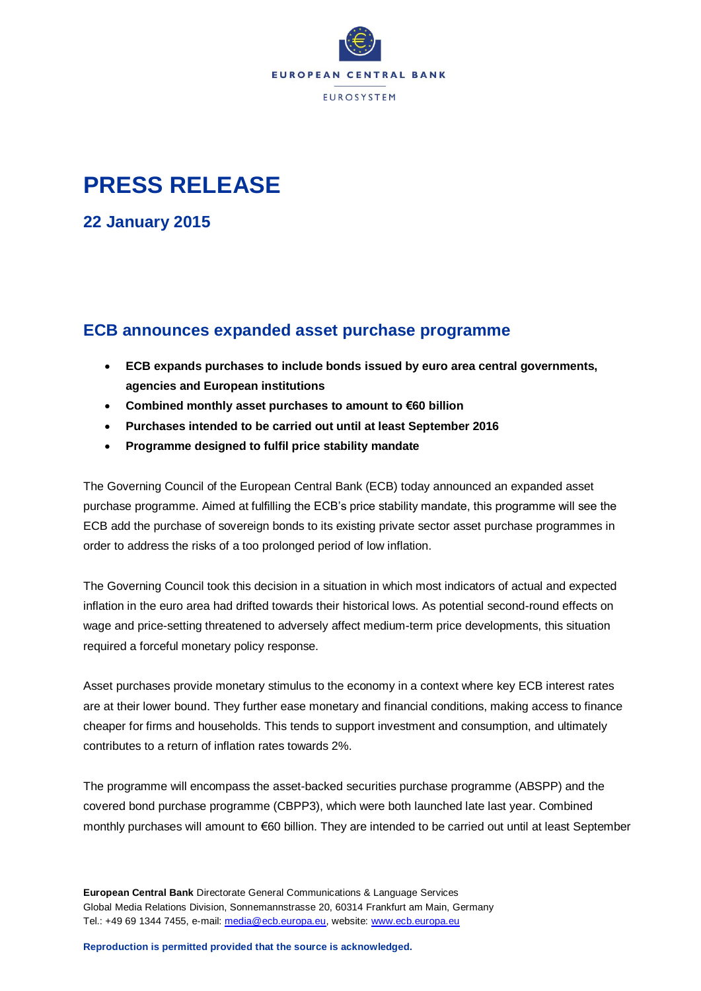

# **PRESS RELEASE**

**22 January 2015**

## **ECB announces expanded asset purchase programme**

- **ECB expands purchases to include bonds issued by euro area central governments, agencies and European institutions**
- **Combined monthly asset purchases to amount to €60 billion**
- **Purchases intended to be carried out until at least September 2016**
- **Programme designed to fulfil price stability mandate**

The Governing Council of the European Central Bank (ECB) today announced an expanded asset purchase programme. Aimed at fulfilling the ECB's price stability mandate, this programme will see the ECB add the purchase of sovereign bonds to its existing private sector asset purchase programmes in order to address the risks of a too prolonged period of low inflation.

The Governing Council took this decision in a situation in which most indicators of actual and expected inflation in the euro area had drifted towards their historical lows. As potential second-round effects on wage and price-setting threatened to adversely affect medium-term price developments, this situation required a forceful monetary policy response.

Asset purchases provide monetary stimulus to the economy in a context where key ECB interest rates are at their lower bound. They further ease monetary and financial conditions, making access to finance cheaper for firms and households. This tends to support investment and consumption, and ultimately contributes to a return of inflation rates towards 2%.

The programme will encompass the asset-backed securities purchase programme (ABSPP) and the covered bond purchase programme (CBPP3), which were both launched late last year. Combined monthly purchases will amount to €60 billion. They are intended to be carried out until at least September

**European Central Bank** Directorate General Communications & Language Services Global Media Relations Division, Sonnemannstrasse 20, 60314 Frankfurt am Main, Germany Tel.: +49 69 1344 7455, e-mail: [media@ecb.europa.eu,](mailto:media@ecb.europa.eu) website: [www.ecb.europa.eu](http://www.ecb.europa.eu/)

**Reproduction is permitted provided that the source is acknowledged.**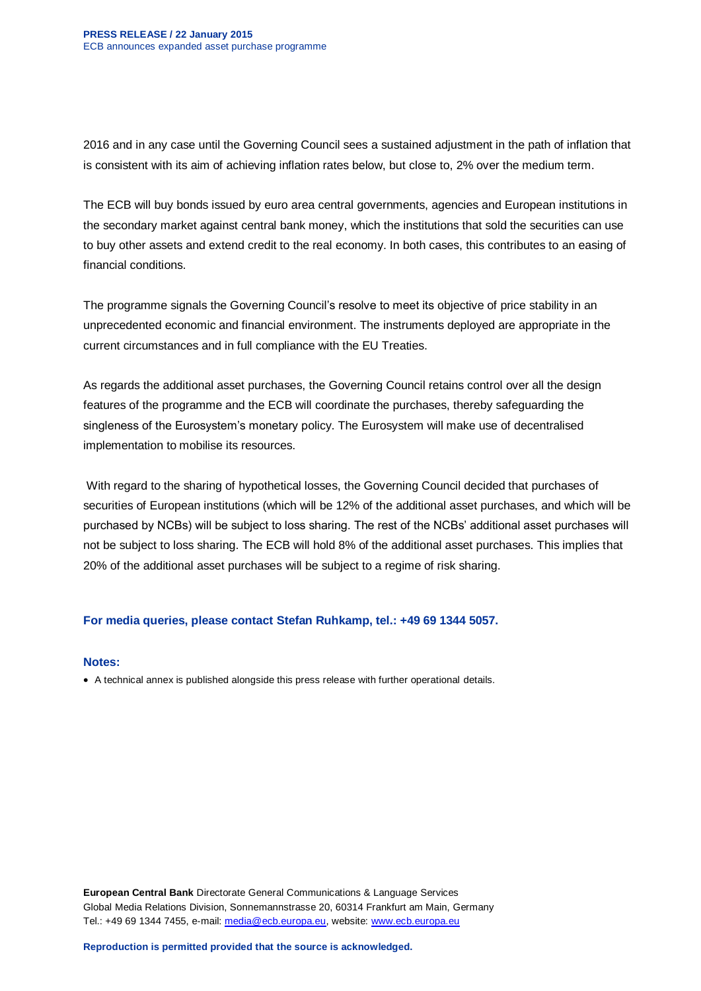2016 and in any case until the Governing Council sees a sustained adjustment in the path of inflation that is consistent with its aim of achieving inflation rates below, but close to, 2% over the medium term.

The ECB will buy bonds issued by euro area central governments, agencies and European institutions in the secondary market against central bank money, which the institutions that sold the securities can use to buy other assets and extend credit to the real economy. In both cases, this contributes to an easing of financial conditions.

The programme signals the Governing Council's resolve to meet its objective of price stability in an unprecedented economic and financial environment. The instruments deployed are appropriate in the current circumstances and in full compliance with the EU Treaties.

As regards the additional asset purchases, the Governing Council retains control over all the design features of the programme and the ECB will coordinate the purchases, thereby safeguarding the singleness of the Eurosystem's monetary policy. The Eurosystem will make use of decentralised implementation to mobilise its resources.

With regard to the sharing of hypothetical losses, the Governing Council decided that purchases of securities of European institutions (which will be 12% of the additional asset purchases, and which will be purchased by NCBs) will be subject to loss sharing. The rest of the NCBs' additional asset purchases will not be subject to loss sharing. The ECB will hold 8% of the additional asset purchases. This implies that 20% of the additional asset purchases will be subject to a regime of risk sharing.

#### **For media queries, please contact Stefan Ruhkamp, tel.: +49 69 1344 5057.**

#### **Notes:**

A technical annex is published alongside this press release with further operational details.

**European Central Bank** Directorate General Communications & Language Services Global Media Relations Division, Sonnemannstrasse 20, 60314 Frankfurt am Main, Germany Tel.: +49 69 1344 7455, e-mail: [media@ecb.europa.eu,](mailto:media@ecb.europa.eu) website: [www.ecb.europa.eu](http://www.ecb.europa.eu/)

**Reproduction is permitted provided that the source is acknowledged.**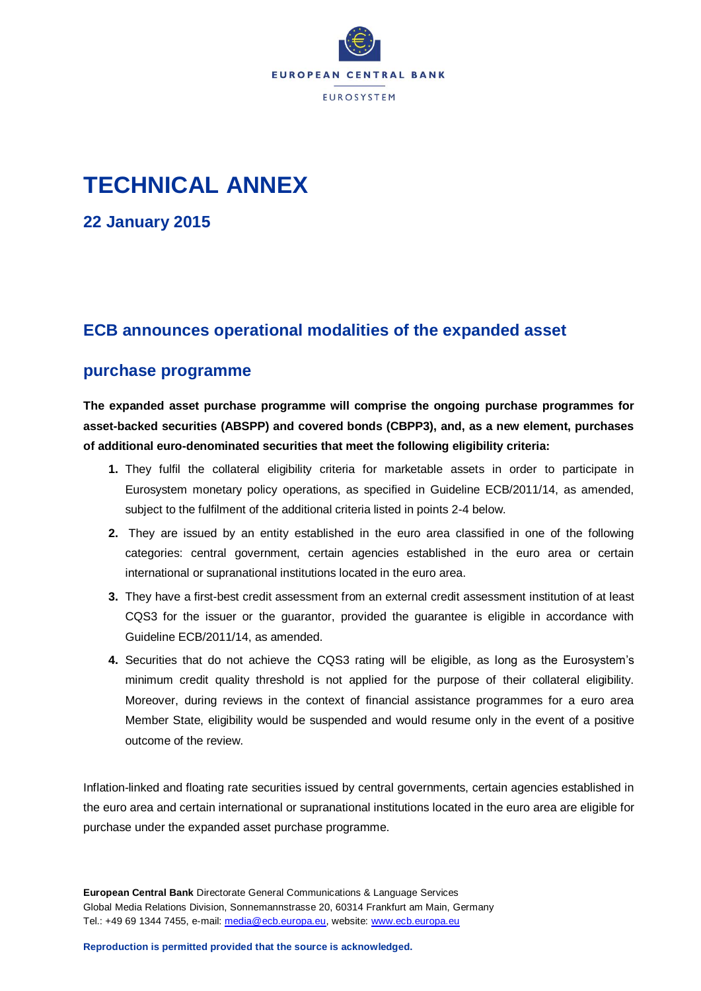

# **TECHNICAL ANNEX**

**22 January 2015**

## **ECB announces operational modalities of the expanded asset**

### **purchase programme**

**The expanded asset purchase programme will comprise the ongoing purchase programmes for asset-backed securities (ABSPP) and covered bonds (CBPP3), and, as a new element, purchases of additional euro-denominated securities that meet the following eligibility criteria:**

- **1.** They fulfil the collateral eligibility criteria for marketable assets in order to participate in Eurosystem monetary policy operations, as specified in Guideline ECB/2011/14, as amended, subject to the fulfilment of the additional criteria listed in points 2-4 below.
- **2.** They are issued by an entity established in the euro area classified in one of the following categories: central government, certain agencies established in the euro area or certain international or supranational institutions located in the euro area.
- **3.** They have a first-best credit assessment from an external credit assessment institution of at least CQS3 for the issuer or the guarantor, provided the guarantee is eligible in accordance with Guideline ECB/2011/14, as amended.
- **4.** Securities that do not achieve the CQS3 rating will be eligible, as long as the Eurosystem's minimum credit quality threshold is not applied for the purpose of their collateral eligibility. Moreover, during reviews in the context of financial assistance programmes for a euro area Member State, eligibility would be suspended and would resume only in the event of a positive outcome of the review.

Inflation-linked and floating rate securities issued by central governments, certain agencies established in the euro area and certain international or supranational institutions located in the euro area are eligible for purchase under the expanded asset purchase programme.

**European Central Bank** Directorate General Communications & Language Services Global Media Relations Division, Sonnemannstrasse 20, 60314 Frankfurt am Main, Germany Tel.: +49 69 1344 7455, e-mail: [media@ecb.europa.eu,](mailto:media@ecb.europa.eu) website: [www.ecb.europa.eu](http://www.ecb.europa.eu/)